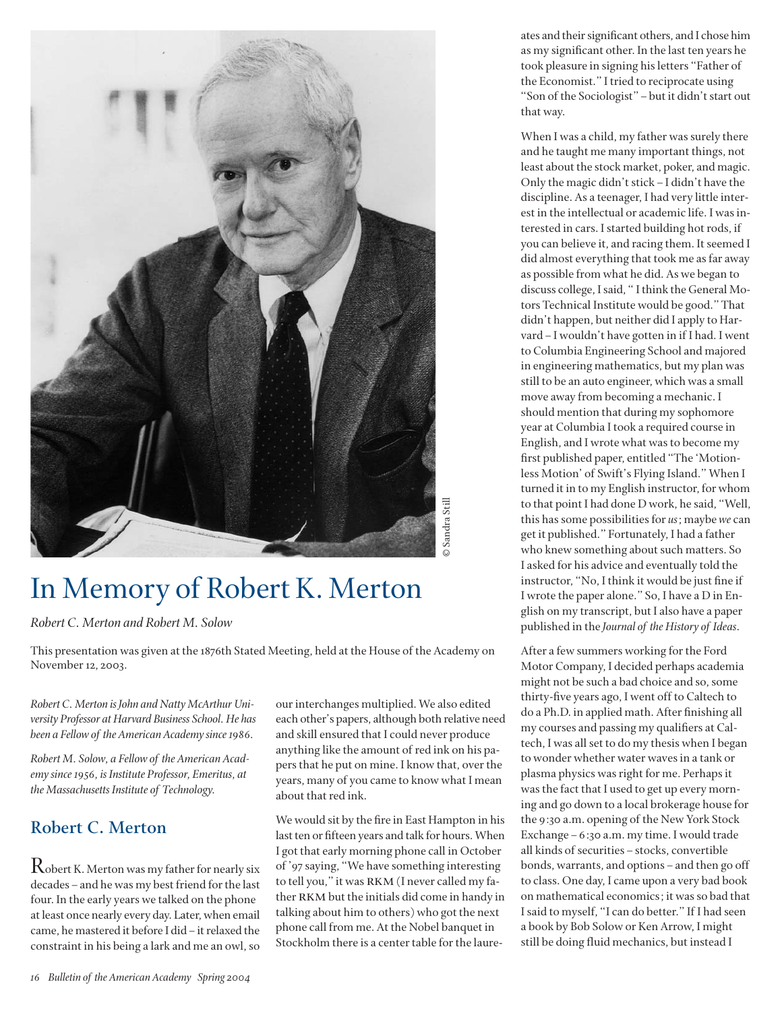

## In Memory of Robert K. Merton

*Robert C. Merton and Robert M. Solow*

This presentation was given at the 1876th Stated Meeting, held at the House of the Academy on November 12, 2003.

*Robert C. Merton is John and Natty McArthur University Professor at Harvard Business School. He has been a Fellow of the American Academy since 1986.*

*Robert M. Solow, a Fellow of the American Academy since 1956, is Institute Professor, Emeritus, at the Massachusetts Institute of Technology.*

## **Robert C. Merton**

 $R$ obert K. Merton was my father for nearly six decades–and he was my best friend for the last four. In the early years we talked on the phone at least once nearly every day. Later, when email came, he mastered it before I did–it relaxed the constraint in his being a lark and me an owl, so

our interchanges multiplied. We also edited each other's papers, although both relative need and skill ensured that I could never produce anything like the amount of red ink on his papers that he put on mine. I know that, over the years, many of you came to know what I mean about that red ink.

We would sit by the fire in East Hampton in his last ten or fifteen years and talk for hours. When I got that early morning phone call in October of '97 saying, "We have something interesting to tell you," it was RKM (I never called my father RKM but the initials did come in handy in talking about him to others) who got the next phone call from me. At the Nobel banquet in Stockholm there is a center table for the laureates and their significant others, and I chose him as my significant other. In the last ten years he took pleasure in signing his letters "Father of the Economist." I tried to reciprocate using "Son of the Sociologist"–but it didn't start out that way.

When I was a child, my father was surely there and he taught me many important things, not least about the stock market, poker, and magic. Only the magic didn't stick–I didn't have the discipline. As a teenager, I had very little interest in the intellectual or academic life. I was interested in cars. I started building hot rods, if you can believe it, and racing them. It seemed I did almost everything that took me as far away as possible from what he did. As we began to discuss college, I said, " I think the General Motors Technical Institute would be good." That didn't happen, but neither did I apply to Harvard–I wouldn't have gotten in if I had. I went to Columbia Engineering School and majored in engineering mathematics, but my plan was still to be an auto engineer, which was a small move away from becoming a mechanic. I should mention that during my sophomore year at Columbia I took a required course in English, and I wrote what was to become my first published paper, entitled "The 'Motionless Motion' of Swift's Flying Island." When I turned it in to my English instructor, for whom to that point I had done D work, he said, "Well, this has some possibilities for *us*; maybe *we* can get it published." Fortunately, I had a father who knew something about such matters. So I asked for his advice and eventually told the instructor, "No, I think it would be just fine if I wrote the paper alone." So, I have a D in English on my transcript, but I also have a paper published in the *Journal of the History of Ideas*.

After a few summers working for the Ford Motor Company, I decided perhaps academia might not be such a bad choice and so, some thirty-five years ago, I went off to Caltech to do a Ph.D. in applied math. After finishing all my courses and passing my qualifiers at Caltech, I was all set to do my thesis when I began to wonder whether water waves in a tank or plasma physics was right for me. Perhaps it was the fact that I used to get up every morning and go down to a local brokerage house for the 9:30 a.m. opening of the New York Stock Exchange–6:30 a.m. my time. I would trade all kinds of securities–stocks, convertible bonds, warrants, and options–and then go off to class. One day, I came upon a very bad book on mathematical economics; it was so bad that I said to myself, "I can do better." If I had seen a book by Bob Solow or Ken Arrow, I might still be doing fluid mechanics, but instead I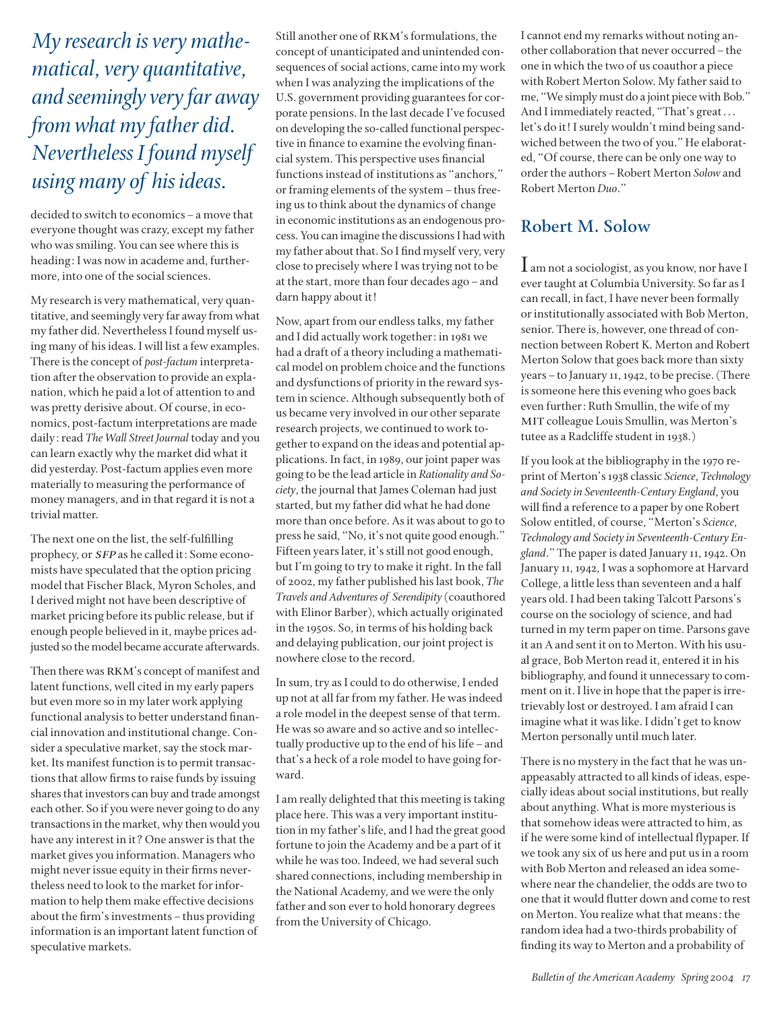*My research is very mathematical, very quantitative, and seemingly very far away from what my father did. Nevertheless I found myself using many of his ideas.*

decided to switch to economics–a move that everyone thought was crazy, except my father who was smiling. You can see where this is heading: I was now in academe and, furthermore, into one of the social sciences.

My research is very mathematical, very quantitative, and seemingly very far away from what my father did. Nevertheless I found myself using many of his ideas. I will list a few examples. There is the concept of *post-factum* interpretation after the observation to provide an explanation, which he paid a lot of attention to and was pretty derisive about. Of course, in economics, post-factum interpretations are made daily: read *The Wall Street Journal* today and you can learn exactly why the market did what it did yesterday. Post-factum applies even more materially to measuring the performance of money managers, and in that regard it is not a trivial matter.

The next one on the list, the self-fulfilling prophecy, or SFP as he called it: Some economists have speculated that the option pricing model that Fischer Black, Myron Scholes, and I derived might not have been descriptive of market pricing before its public release, but if enough people believed in it, maybe prices adjusted so the model became accurate afterwards.

Then there was RKM's concept of manifest and latent functions, well cited in my early papers but even more so in my later work applying functional analysis to better understand financial innovation and institutional change. Consider a speculative market, say the stock market. Its manifest function is to permit transactions that allow firms to raise funds by issuing shares that investors can buy and trade amongst each other. So if you were never going to do any transactions in the market, why then would you have any interest in it? One answer is that the market gives you information. Managers who might never issue equity in their firms nevertheless need to look to the market for information to help them make effective decisions about the firm's investments – thus providing information is an important latent function of speculative markets.

Still another one of RKM's formulations, the concept of unanticipated and unintended consequences of social actions, came into my work when I was analyzing the implications of the U.S. government providing guarantees for corporate pensions. In the last decade I've focused on developing the so-called functional perspective in finance to examine the evolving financial system. This perspective uses financial functions instead of institutions as "anchors," or framing elements of the system–thus freeing us to think about the dynamics of change in economic institutions as an endogenous process. You can imagine the discussions I had with my father about that. So I find myself very, very close to precisely where I was trying not to be at the start, more than four decades ago–and darn happy about it!

Now, apart from our endless talks, my father and I did actually work together: in 1981 we had a draft of a theory including a mathematical model on problem choice and the functions and dysfunctions of priority in the reward system in science. Although subsequently both of us became very involved in our other separate research projects, we continued to work together to expand on the ideas and potential applications. In fact, in 1989, our joint paper was going to be the lead article in *Rationality and Society*, the journal that James Coleman had just started, but my father did what he had done more than once before. As it was about to go to press he said, "No, it's not quite good enough." Fifteen years later, it's still not good enough, but I'm going to try to make it right. In the fall of 2002, my father published his last book, *The Travels and Adventures of Serendipity*(coauthored with Elinor Barber), which actually originated in the 1950s. So, in terms of his holding back and delaying publication, our joint project is nowhere close to the record.

In sum, try as I could to do otherwise, I ended up not at all far from my father. He was indeed a role model in the deepest sense of that term. He was so aware and so active and so intellectually productive up to the end of his life–and that's a heck of a role model to have going forward.

I am really delighted that this meeting is taking place here. This was a very important institution in my father's life, and I had the great good fortune to join the Academy and be a part of it while he was too. Indeed, we had several such shared connections, including membership in the National Academy, and we were the only father and son ever to hold honorary degrees from the University of Chicago.

I cannot end my remarks without noting another collaboration that never occurred–the one in which the two of us coauthor a piece with Robert Merton Solow. My father said to me, "We simply must do a joint piece with Bob." And I immediately reacted, "That's great... let's do it! I surely wouldn't mind being sandwiched between the two of you." He elaborated, "Of course, there can be only one way to order the authors–Robert Merton *Solow* and Robert Merton *Duo*."

## **Robert M. Solow**

I am not a sociologist, as you know, nor have I ever taught at Columbia University. So far as I can recall, in fact, I have never been formally or institutionally associated with Bob Merton, senior. There is, however, one thread of connection between Robert K. Merton and Robert Merton Solow that goes back more than sixty years–to January 11, 1942, to be precise. (There is someone here this evening who goes back even further: Ruth Smullin, the wife of my mit colleague Louis Smullin, was Merton's tutee as a Radcliffe student in 1938.)

If you look at the bibliography in the 1970 reprint of Merton's 1938 classic *Science, Technology and Society in Seventeenth-Century England*, you will find a reference to a paper by one Robert Solow entitled, of course, "Merton's *Science, Technology and Society in Seventeenth-Century England*." The paper is dated January 11, 1942. On January 11, 1942, I was a sophomore at Harvard College, a little less than seventeen and a half years old. I had been taking Talcott Parsons's course on the sociology of science, and had turned in my term paper on time. Parsons gave it an A and sent it on to Merton. With his usual grace, Bob Merton read it, entered it in his bibliography, and found it unnecessary to comment on it. I live in hope that the paper is irretrievably lost or destroyed. I am afraid I can imagine what it was like. I didn't get to know Merton personally until much later.

There is no mystery in the fact that he was unappeasably attracted to all kinds of ideas, especially ideas about social institutions, but really about anything. What is more mysterious is that somehow ideas were attracted to him, as if he were some kind of intellectual flypaper. If we took any six of us here and put us in a room with Bob Merton and released an idea somewhere near the chandelier, the odds are two to one that it would flutter down and come to rest on Merton. You realize what that means: the random idea had a two-thirds probability of finding its way to Merton and a probability of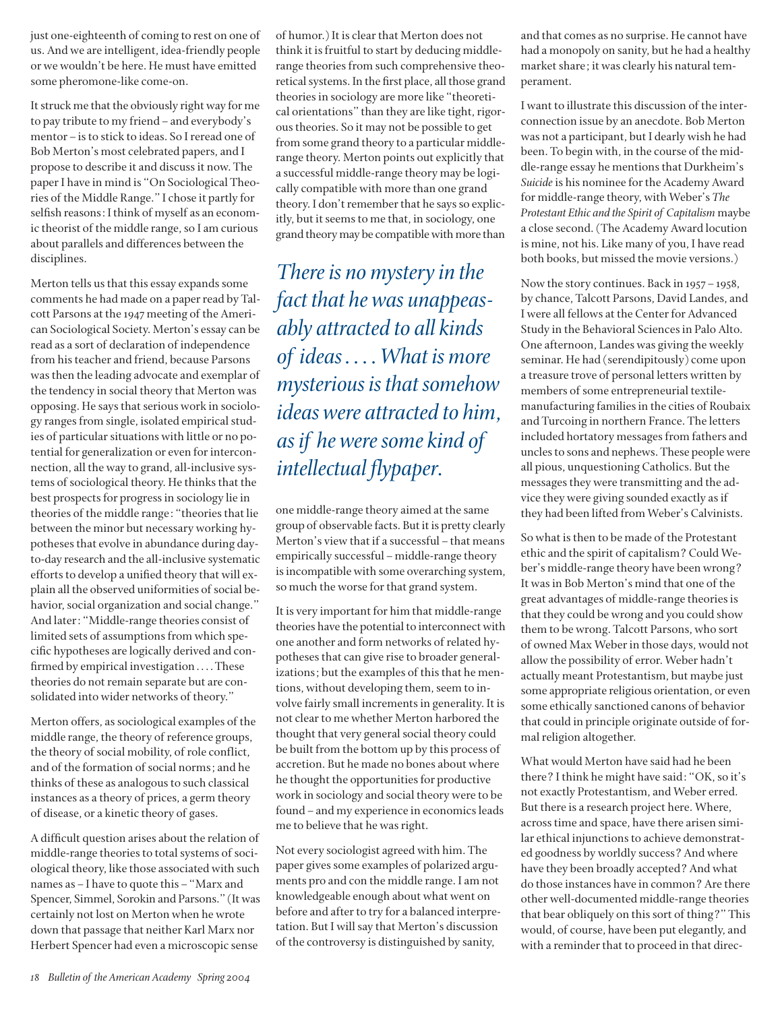just one-eighteenth of coming to rest on one of us. And we are intelligent, idea-friendly people or we wouldn't be here. He must have emitted some pheromone-like come-on.

It struck me that the obviously right way for me to pay tribute to my friend–and everybody's mentor–is to stick to ideas. So I reread one of Bob Merton's most celebrated papers, and I propose to describe it and discuss it now. The paper I have in mind is "On Sociological Theories of the Middle Range." I chose it partly for selfish reasons: I think of myself as an economic theorist of the middle range, so I am curious about parallels and differences between the disciplines.

Merton tells us that this essay expands some comments he had made on a paper read by Talcott Parsons at the 1947 meeting of the American Sociological Society. Merton's essay can be read as a sort of declaration of independence from his teacher and friend, because Parsons was then the leading advocate and exemplar of the tendency in social theory that Merton was opposing. He says that serious work in sociology ranges from single, isolated empirical studies of particular situations with little or no potential for generalization or even for interconnection, all the way to grand, all-inclusive systems of sociological theory. He thinks that the best prospects for progress in sociology lie in theories of the middle range: "theories that lie between the minor but necessary working hypotheses that evolve in abundance during dayto-day research and the all-inclusive systematic efforts to develop a unified theory that will explain all the observed uniformities of social behavior, social organization and social change." And later: "Middle-range theories consist of limited sets of assumptions from which specific hypotheses are logically derived and confirmed by empirical investigation....These theories do not remain separate but are consolidated into wider networks of theory."

Merton offers, as sociological examples of the middle range, the theory of reference groups, the theory of social mobility, of role conflict, and of the formation of social norms; and he thinks of these as analogous to such classical instances as a theory of prices, a germ theory of disease, or a kinetic theory of gases.

A difficult question arises about the relation of middle-range theories to total systems of sociological theory, like those associated with such names as–I have to quote this–"Marx and Spencer, Simmel, Sorokin and Parsons." (It was certainly not lost on Merton when he wrote down that passage that neither Karl Marx nor Herbert Spencer had even a microscopic sense

of humor.) It is clear that Merton does not think it is fruitful to start by deducing middlerange theories from such comprehensive theoretical systems. In the first place, all those grand theories in sociology are more like "theoretical orientations" than they are like tight, rigorous theories. So it may not be possible to get from some grand theory to a particular middlerange theory. Merton points out explicitly that a successful middle-range theory may be logically compatible with more than one grand theory. I don't remember that he says so explicitly, but it seems to me that, in sociology, one grand theory may be compatible with more than

*There is no mystery in the fact that he was unappeasably attracted to all kinds of ideas. . . . What is more mysterious is that somehow ideas were attracted to him, as if he were some kind of intellectual flypaper.*

one middle-range theory aimed at the same group of observable facts. But it is pretty clearly Merton's view that if a successful - that means empirically successful–middle-range theory is incompatible with some overarching system, so much the worse for that grand system.

It is very important for him that middle-range theories have the potential to interconnect with one another and form networks of related hypotheses that can give rise to broader generalizations; but the examples of this that he mentions, without developing them, seem to involve fairly small increments in generality. It is not clear to me whether Merton harbored the thought that very general social theory could be built from the bottom up by this process of accretion. But he made no bones about where he thought the opportunities for productive work in sociology and social theory were to be found–and my experience in economics leads me to believe that he was right.

Not every sociologist agreed with him. The paper gives some examples of polarized arguments pro and con the middle range. I am not knowledgeable enough about what went on before and after to try for a balanced interpretation. But I will say that Merton's discussion of the controversy is distinguished by sanity,

and that comes as no surprise. He cannot have had a monopoly on sanity, but he had a healthy market share; it was clearly his natural temperament.

I want to illustrate this discussion of the interconnection issue by an anecdote. Bob Merton was not a participant, but I dearly wish he had been. To begin with, in the course of the middle-range essay he mentions that Durkheim's Suicide is his nominee for the Academy Award for middle-range theory, with Weber's *The Protestant Ethic and the Spirit of Capitalism* maybe a close second. (The Academy Award locution is mine, not his. Like many of you, I have read both books, but missed the movie versions.)

Now the story continues. Back in 1957–1958, by chance, Talcott Parsons, David Landes, and I were all fellows at the Center for Advanced Study in the Behavioral Sciences in Palo Alto. One afternoon, Landes was giving the weekly seminar. He had (serendipitously) come upon a treasure trove of personal letters written by members of some entrepreneurial textilemanufacturing families in the cities of Roubaix and Turcoing in northern France. The letters included hortatory messages from fathers and uncles to sons and nephews. These people were all pious, unquestioning Catholics. But the messages they were transmitting and the advice they were giving sounded exactly as if they had been lifted from Weber's Calvinists.

So what is then to be made of the Protestant ethic and the spirit of capitalism? Could Weber's middle-range theory have been wrong? It was in Bob Merton's mind that one of the great advantages of middle-range theories is that they could be wrong and you could show them to be wrong. Talcott Parsons, who sort of owned Max Weber in those days, would not allow the possibility of error. Weber hadn't actually meant Protestantism, but maybe just some appropriate religious orientation, or even some ethically sanctioned canons of behavior that could in principle originate outside of formal religion altogether.

What would Merton have said had he been there? I think he might have said: "OK, so it's not exactly Protestantism, and Weber erred. But there is a research project here. Where, across time and space, have there arisen similar ethical injunctions to achieve demonstrated goodness by worldly success? And where have they been broadly accepted? And what do those instances have in common? Are there other well-documented middle-range theories that bear obliquely on this sort of thing?" This would, of course, have been put elegantly, and with a reminder that to proceed in that direc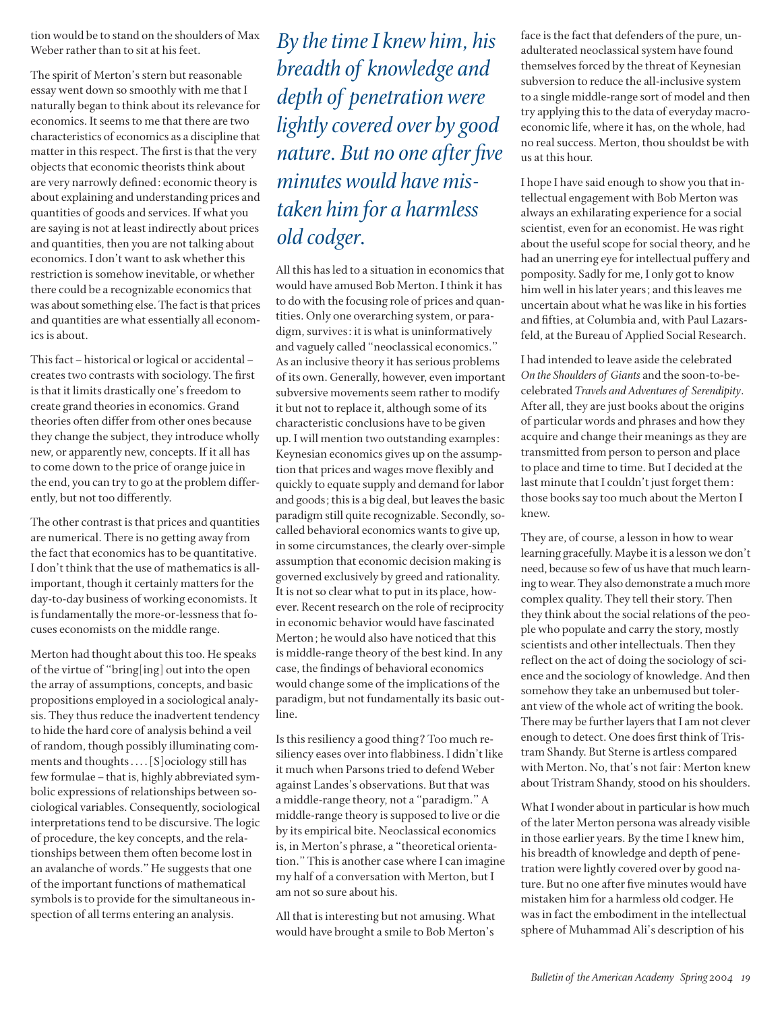tion would be to stand on the shoulders of Max Weber rather than to sit at his feet.

The spirit of Merton's stern but reasonable essay went down so smoothly with me that I naturally began to think about its relevance for economics. It seems to me that there are two characteristics of economics as a discipline that matter in this respect. The first is that the very objects that economic theorists think about are very narrowly defined: economic theory is about explaining and understanding prices and quantities of goods and services. If what you are saying is not at least indirectly about prices and quantities, then you are not talking about economics. I don't want to ask whether this restriction is somehow inevitable, or whether there could be a recognizable economics that was about something else. The fact is that prices and quantities are what essentially all economics is about.

This fact–historical or logical or accidental– creates two contrasts with sociology. The first is that it limits drastically one's freedom to create grand theories in economics. Grand theories often differ from other ones because they change the subject, they introduce wholly new, or apparently new, concepts. If it all has to come down to the price of orange juice in the end, you can try to go at the problem differently, but not too differently.

The other contrast is that prices and quantities are numerical. There is no getting away from the fact that economics has to be quantitative. I don't think that the use of mathematics is allimportant, though it certainly matters for the day-to-day business of working economists. It is fundamentally the more-or-lessness that focuses economists on the middle range.

Merton had thought about this too. He speaks of the virtue of "bring[ing] out into the open the array of assumptions, concepts, and basic propositions employed in a sociological analysis. They thus reduce the inadvertent tendency to hide the hard core of analysis behind a veil of random, though possibly illuminating comments and thoughts....[S]ociology still has few formulae–that is, highly abbreviated symbolic expressions of relationships between sociological variables. Consequently, sociological interpretations tend to be discursive. The logic of procedure, the key concepts, and the relationships between them often become lost in an avalanche of words." He suggests that one of the important functions of mathematical symbols is to provide for the simultaneous inspection of all terms entering an analysis.

*By the time I knew him, his breadth of knowledge and depth of penetration were lightly covered over by good nature. But no one after five minutes would have mistaken him for a harmless old codger.*

All this has led to a situation in economics that would have amused Bob Merton. I think it has to do with the focusing role of prices and quantities. Only one overarching system, or paradigm, survives: it is what is uninformatively and vaguely called "neoclassical economics." As an inclusive theory it has serious problems of its own. Generally, however, even important subversive movements seem rather to modify it but not to replace it, although some of its characteristic conclusions have to be given up. I will mention two outstanding examples: Keynesian economics gives up on the assumption that prices and wages move flexibly and quickly to equate supply and demand for labor and goods; this is a big deal, but leaves the basic paradigm still quite recognizable. Secondly, socalled behavioral economics wants to give up, in some circumstances, the clearly over-simple assumption that economic decision making is governed exclusively by greed and rationality. It is not so clear what to put in its place, however. Recent research on the role of reciprocity in economic behavior would have fascinated Merton; he would also have noticed that this is middle-range theory of the best kind. In any case, the findings of behavioral economics would change some of the implications of the paradigm, but not fundamentally its basic outline.

Is this resiliency a good thing? Too much resiliency eases over into flabbiness. I didn't like it much when Parsons tried to defend Weber against Landes's observations. But that was a middle-range theory, not a "paradigm." A middle-range theory is supposed to live or die by its empirical bite. Neoclassical economics is, in Merton's phrase, a "theoretical orientation." This is another case where I can imagine my half of a conversation with Merton, but I am not so sure about his.

All that is interesting but not amusing. What would have brought a smile to Bob Merton's

face is the fact that defenders of the pure, unadulterated neoclassical system have found themselves forced by the threat of Keynesian subversion to reduce the all-inclusive system to a single middle-range sort of model and then try applying this to the data of everyday macroeconomic life, where it has, on the whole, had no real success. Merton, thou shouldst be with us at this hour.

I hope I have said enough to show you that intellectual engagement with Bob Merton was always an exhilarating experience for a social scientist, even for an economist. He was right about the useful scope for social theory, and he had an unerring eye for intellectual puffery and pomposity. Sadly for me, I only got to know him well in his later years; and this leaves me uncertain about what he was like in his forties and fifties, at Columbia and, with Paul Lazarsfeld, at the Bureau of Applied Social Research.

I had intended to leave aside the celebrated *On the Shoulders of Giants* and the soon-to-becelebrated *Travels and Adventures of Serendipity*. After all, they are just books about the origins of particular words and phrases and how they acquire and change their meanings as they are transmitted from person to person and place to place and time to time. But I decided at the last minute that I couldn't just forget them: those books say too much about the Merton I knew.

They are, of course, a lesson in how to wear learning gracefully. Maybe it is a lesson we don't need, because so few of us have that much learning to wear. They also demonstrate a much more complex quality. They tell their story. Then they think about the social relations of the people who populate and carry the story, mostly scientists and other intellectuals. Then they reflect on the act of doing the sociology of science and the sociology of knowledge. And then somehow they take an unbemused but tolerant view of the whole act of writing the book. There may be further layers that I am not clever enough to detect. One does first think of Tristram Shandy. But Sterne is artless compared with Merton. No, that's not fair: Merton knew about Tristram Shandy, stood on his shoulders.

What I wonder about in particular is how much of the later Merton persona was already visible in those earlier years. By the time I knew him, his breadth of knowledge and depth of penetration were lightly covered over by good nature. But no one after five minutes would have mistaken him for a harmless old codger. He was in fact the embodiment in the intellectual sphere of Muhammad Ali's description of his